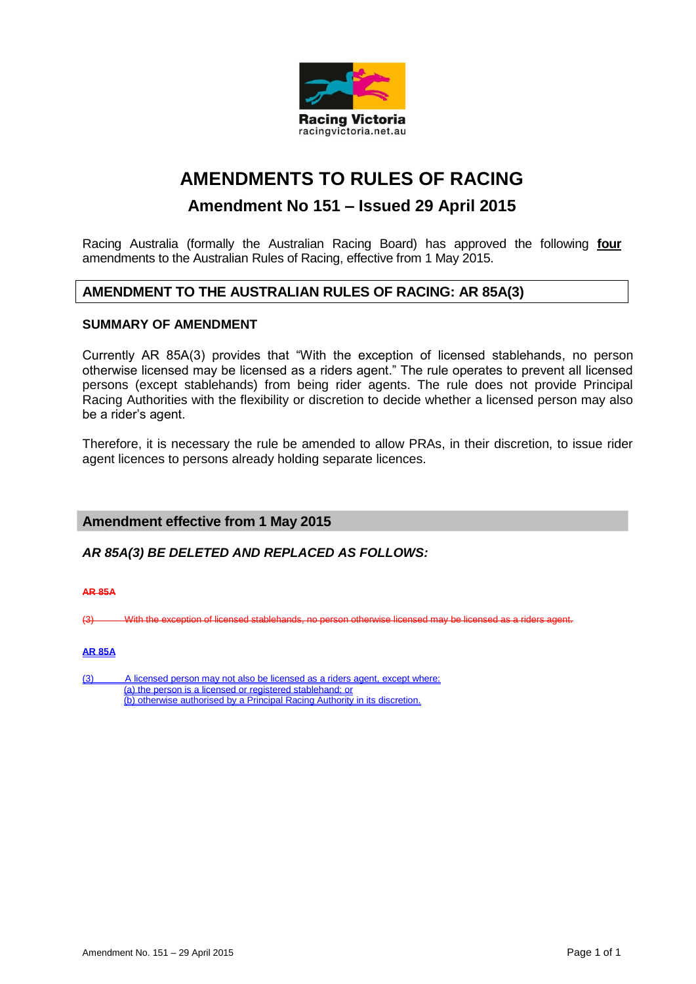

# **AMENDMENTS TO RULES OF RACING**

## **Amendment No 151 – Issued 29 April 2015**

Racing Australia (formally the Australian Racing Board) has approved the following **four** amendments to the Australian Rules of Racing, effective from 1 May 2015.

## **AMENDMENT TO THE AUSTRALIAN RULES OF RACING: AR 85A(3)**

### **SUMMARY OF AMENDMENT**

Currently AR 85A(3) provides that "With the exception of licensed stablehands, no person otherwise licensed may be licensed as a riders agent." The rule operates to prevent all licensed persons (except stablehands) from being rider agents. The rule does not provide Principal Racing Authorities with the flexibility or discretion to decide whether a licensed person may also be a rider's agent.

Therefore, it is necessary the rule be amended to allow PRAs, in their discretion, to issue rider agent licences to persons already holding separate licences.

### **Amendment effective from 1 May 2015**

*AR 85A(3) BE DELETED AND REPLACED AS FOLLOWS:*

**AR 85A**

(3) With the exception of licensed stablehands, no person otherwise licensed may be licensed as a riders agent.

#### **AR 85A**

(3) A licensed person may not also be licensed as a riders agent, except where: (a) the person is a licensed or registered stablehand; or (b) otherwise authorised by a Principal Racing Authority in its discretion.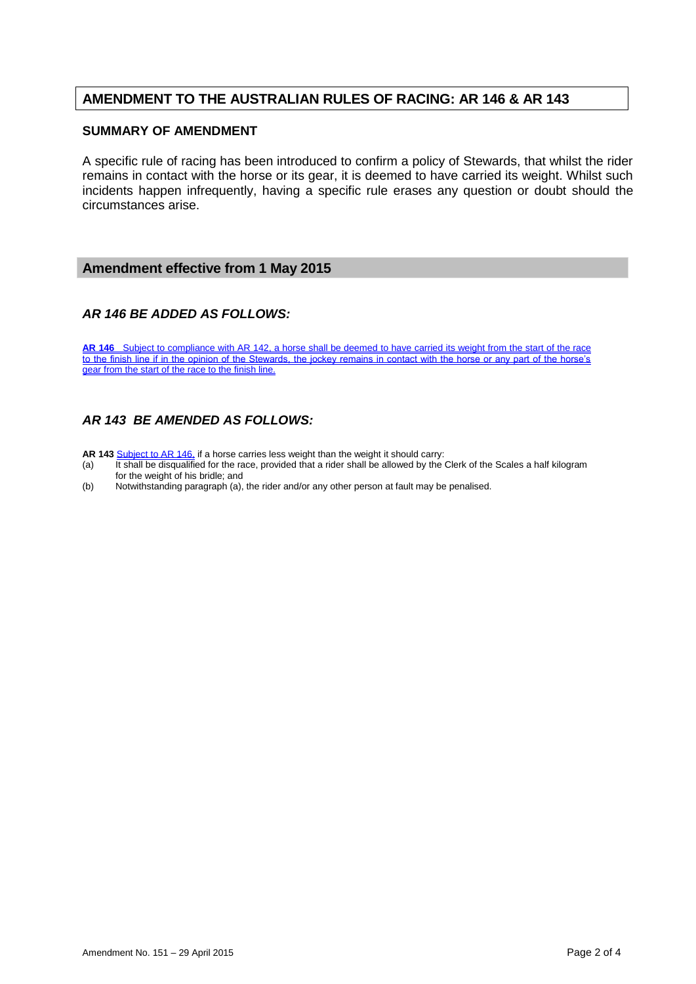## **AMENDMENT TO THE AUSTRALIAN RULES OF RACING: AR 146 & AR 143**

#### **SUMMARY OF AMENDMENT**

A specific rule of racing has been introduced to confirm a policy of Stewards, that whilst the rider remains in contact with the horse or its gear, it is deemed to have carried its weight. Whilst such incidents happen infrequently, having a specific rule erases any question or doubt should the circumstances arise.

### **Amendment effective from 1 May 2015**

### *AR 146 BE ADDED AS FOLLOWS:*

**AR 146** Subject to compliance with AR 142, a horse shall be deemed to have carried its weight from the start of the race to the finish line if in the opinion of the Stewards, the jockey remains in contact with the horse or any part of the horse's gear from the start of the race to the finish line.

### *AR 143 BE AMENDED AS FOLLOWS:*

- 
- AR 143 **Subject to AR 146**, if a horse carries less weight than the weight it should carry:<br>(a) It shall be disqualified for the race, provided that a rider shall be allowed by the It shall be disqualified for the race, provided that a rider shall be allowed by the Clerk of the Scales a half kilogram for the weight of his bridle; and
- (b) Notwithstanding paragraph (a), the rider and/or any other person at fault may be penalised.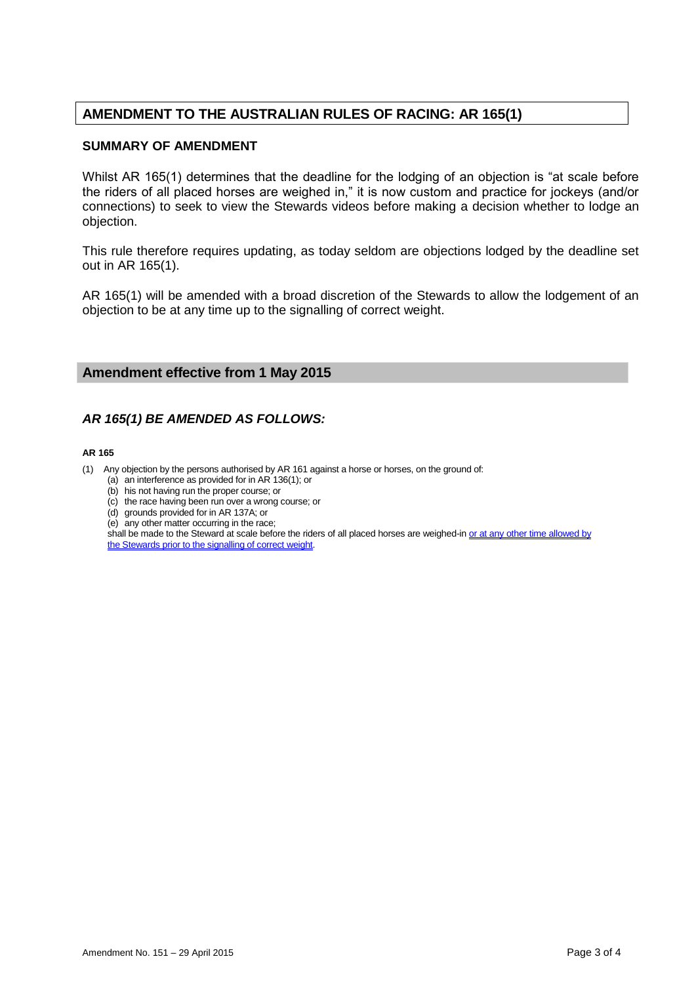## **AMENDMENT TO THE AUSTRALIAN RULES OF RACING: AR 165(1)**

#### **SUMMARY OF AMENDMENT**

Whilst AR 165(1) determines that the deadline for the lodging of an objection is "at scale before the riders of all placed horses are weighed in," it is now custom and practice for jockeys (and/or connections) to seek to view the Stewards videos before making a decision whether to lodge an objection.

This rule therefore requires updating, as today seldom are objections lodged by the deadline set out in AR 165(1).

AR 165(1) will be amended with a broad discretion of the Stewards to allow the lodgement of an objection to be at any time up to the signalling of correct weight.

### **Amendment effective from 1 May 2015**

### *AR 165(1) BE AMENDED AS FOLLOWS:*

#### **AR 165**

(1) Any objection by the persons authorised by AR 161 against a horse or horses, on the ground of:

- (a) an interference as provided for in AR 136(1); or
- (b) his not having run the proper course; or
- (c) the race having been run over a wrong course; or
- (d) grounds provided for in AR 137A; or
- (e) any other matter occurring in the race;

shall be made to the Steward at scale before the riders of all placed horses are weighed-in or at any other time allowed by the Stewards prior to the signalling of correct weight.